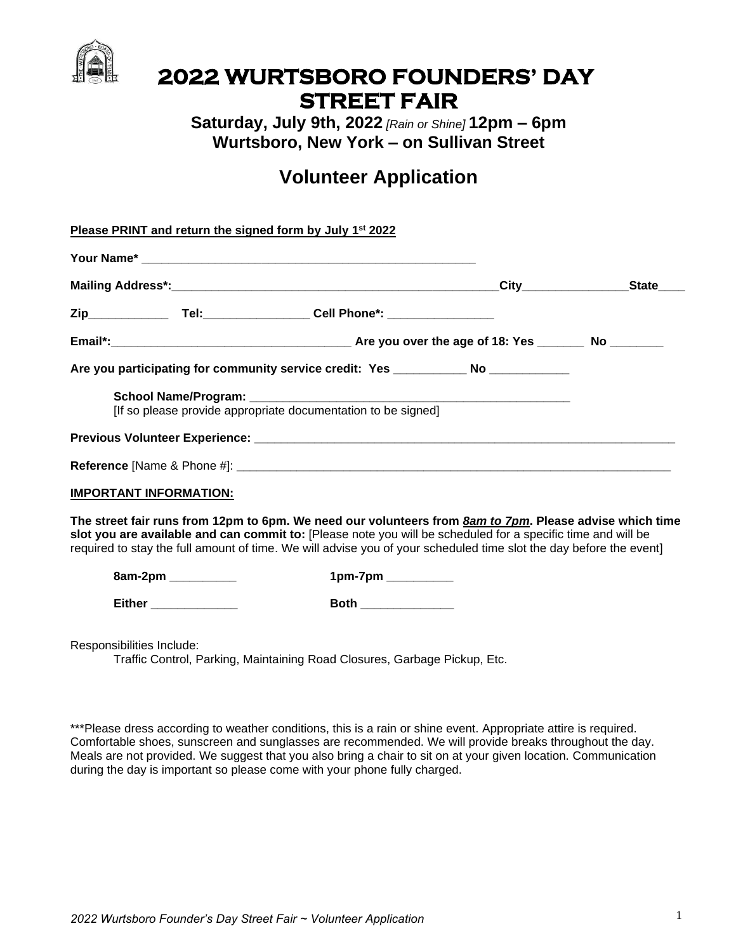

## **2022 WURTSBORO FOUNDERS' DAY STREET FAIR**

**Saturday, July 9th, 2022** *[Rain or Shine]* **12pm – 6pm Wurtsboro, New York – on Sullivan Street**

## **Volunteer Application**

| Please PRINT and return the signed form by July 1 <sup>st</sup> 2022 |                                                                                                                                                                                                                                                                                                                                                       |                                  |
|----------------------------------------------------------------------|-------------------------------------------------------------------------------------------------------------------------------------------------------------------------------------------------------------------------------------------------------------------------------------------------------------------------------------------------------|----------------------------------|
|                                                                      |                                                                                                                                                                                                                                                                                                                                                       |                                  |
|                                                                      |                                                                                                                                                                                                                                                                                                                                                       | City___________________State____ |
|                                                                      |                                                                                                                                                                                                                                                                                                                                                       |                                  |
|                                                                      |                                                                                                                                                                                                                                                                                                                                                       |                                  |
|                                                                      | Are you participating for community service credit: Yes ____________ No ____________                                                                                                                                                                                                                                                                  |                                  |
|                                                                      |                                                                                                                                                                                                                                                                                                                                                       |                                  |
|                                                                      |                                                                                                                                                                                                                                                                                                                                                       |                                  |
|                                                                      |                                                                                                                                                                                                                                                                                                                                                       |                                  |
| <b>IMPORTANT INFORMATION:</b>                                        |                                                                                                                                                                                                                                                                                                                                                       |                                  |
|                                                                      | The street fair runs from 12pm to 6pm. We need our volunteers from <b>8am to 7pm</b> . Please advise which time<br>slot you are available and can commit to: [Please note you will be scheduled for a specific time and will be<br>required to stay the full amount of time. We will advise you of your scheduled time slot the day before the event] |                                  |
| 8am-2pm __________                                                   | 1pm-7pm __________                                                                                                                                                                                                                                                                                                                                    |                                  |
| Either ______________                                                | Both ______________                                                                                                                                                                                                                                                                                                                                   |                                  |
| Responsibilities Include:                                            |                                                                                                                                                                                                                                                                                                                                                       |                                  |

Traffic Control, Parking, Maintaining Road Closures, Garbage Pickup, Etc.

\*\*\*Please dress according to weather conditions, this is a rain or shine event. Appropriate attire is required. Comfortable shoes, sunscreen and sunglasses are recommended. We will provide breaks throughout the day. Meals are not provided. We suggest that you also bring a chair to sit on at your given location. Communication during the day is important so please come with your phone fully charged.